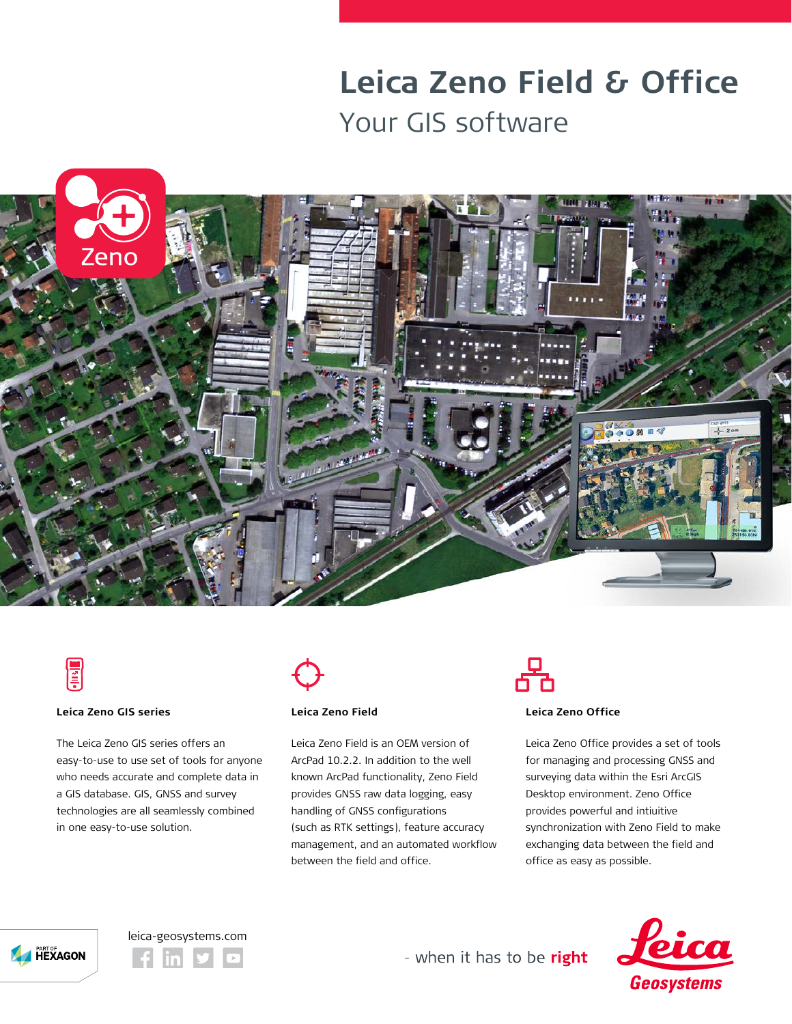# **Leica Zeno Field & Office** Your GIS software





### **Leica Zeno GIS series**

The Leica Zeno GIS series offers an easy-to-use to use set of tools for anyone who needs accurate and complete data in a GIS database. GIS, GNSS and survey technologies are all seamlessly combined in one easy-to-use solution.



## **Leica Zeno Field**

Leica Zeno Field is an OEM version of ArcPad 10.2.2. In addition to the well known ArcPad functionality, Zeno Field provides GNSS raw data logging, easy handling of GNSS configurations (such as RTK settings), feature accuracy management, and an automated workflow between the field and office.



### **Leica Zeno Office**

Leica Zeno Office provides a set of tools for managing and processing GNSS and surveying data within the Esri ArcGIS Desktop environment. Zeno Office provides powerful and intiuitive synchronization with Zeno Field to make exchanging data between the field and office as easy as possible.







- when it has to be right